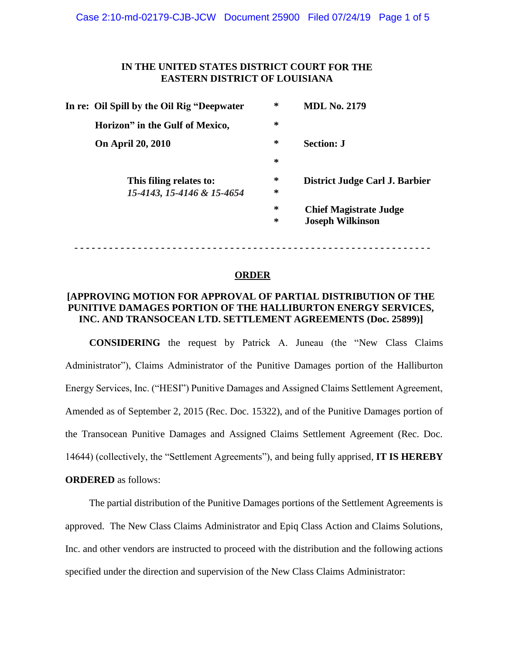## **IN THE UNITED STATES DISTRICT COURT FOR THE EASTERN DISTRICT OF LOUISIANA**

|  | In re: Oil Spill by the Oil Rig "Deepwater" | $\ast$ | <b>MDL No. 2179</b>            |
|--|---------------------------------------------|--------|--------------------------------|
|  | Horizon" in the Gulf of Mexico,             | $\ast$ |                                |
|  | <b>On April 20, 2010</b>                    | $\ast$ | <b>Section: J</b>              |
|  |                                             | $\ast$ |                                |
|  | This filing relates to:                     | $\ast$ | District Judge Carl J. Barbier |
|  | 15-4143, 15-4146 & 15-4654                  | ∗      |                                |
|  |                                             | $\ast$ | <b>Chief Magistrate Judge</b>  |
|  |                                             | $\ast$ | <b>Joseph Wilkinson</b>        |
|  |                                             |        |                                |

## **ORDER**

**- - - - - - - - - - - - - - - - - - - - - - - - - - - - - - - - - - - - - - - - - - - - - - - - - - - - - - - - - - - - - -**

## **[APPROVING MOTION FOR APPROVAL OF PARTIAL DISTRIBUTION OF THE PUNITIVE DAMAGES PORTION OF THE HALLIBURTON ENERGY SERVICES, INC. AND TRANSOCEAN LTD. SETTLEMENT AGREEMENTS (Doc. 25899)]**

**CONSIDERING** the request by Patrick A. Juneau (the "New Class Claims Administrator"), Claims Administrator of the Punitive Damages portion of the Halliburton Energy Services, Inc. ("HESI") Punitive Damages and Assigned Claims Settlement Agreement, Amended as of September 2, 2015 (Rec. Doc. 15322), and of the Punitive Damages portion of the Transocean Punitive Damages and Assigned Claims Settlement Agreement (Rec. Doc. 14644) (collectively, the "Settlement Agreements"), and being fully apprised, **IT IS HEREBY ORDERED** as follows:

The partial distribution of the Punitive Damages portions of the Settlement Agreements is approved. The New Class Claims Administrator and Epiq Class Action and Claims Solutions, Inc. and other vendors are instructed to proceed with the distribution and the following actions specified under the direction and supervision of the New Class Claims Administrator: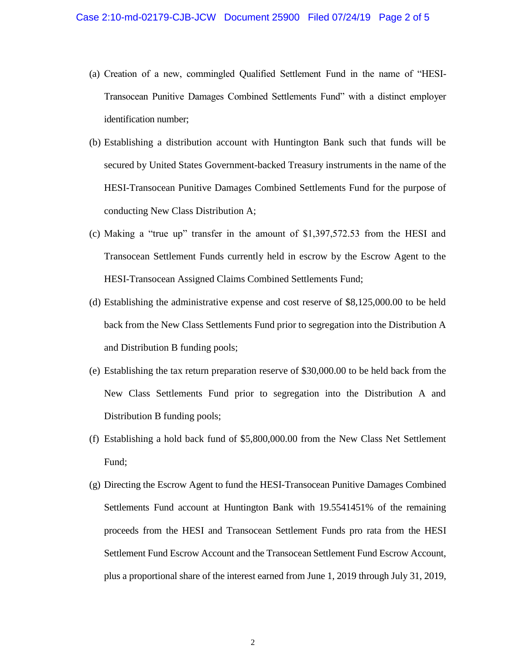- (a) Creation of a new, commingled Qualified Settlement Fund in the name of "HESI-Transocean Punitive Damages Combined Settlements Fund" with a distinct employer identification number;
- (b) Establishing a distribution account with Huntington Bank such that funds will be secured by United States Government-backed Treasury instruments in the name of the HESI-Transocean Punitive Damages Combined Settlements Fund for the purpose of conducting New Class Distribution A;
- (c) Making a "true up" transfer in the amount of \$1,397,572.53 from the HESI and Transocean Settlement Funds currently held in escrow by the Escrow Agent to the HESI-Transocean Assigned Claims Combined Settlements Fund;
- (d) Establishing the administrative expense and cost reserve of \$8,125,000.00 to be held back from the New Class Settlements Fund prior to segregation into the Distribution A and Distribution B funding pools;
- (e) Establishing the tax return preparation reserve of \$30,000.00 to be held back from the New Class Settlements Fund prior to segregation into the Distribution A and Distribution B funding pools;
- (f) Establishing a hold back fund of \$5,800,000.00 from the New Class Net Settlement Fund;
- (g) Directing the Escrow Agent to fund the HESI-Transocean Punitive Damages Combined Settlements Fund account at Huntington Bank with 19.5541451% of the remaining proceeds from the HESI and Transocean Settlement Funds pro rata from the HESI Settlement Fund Escrow Account and the Transocean Settlement Fund Escrow Account, plus a proportional share of the interest earned from June 1, 2019 through July 31, 2019,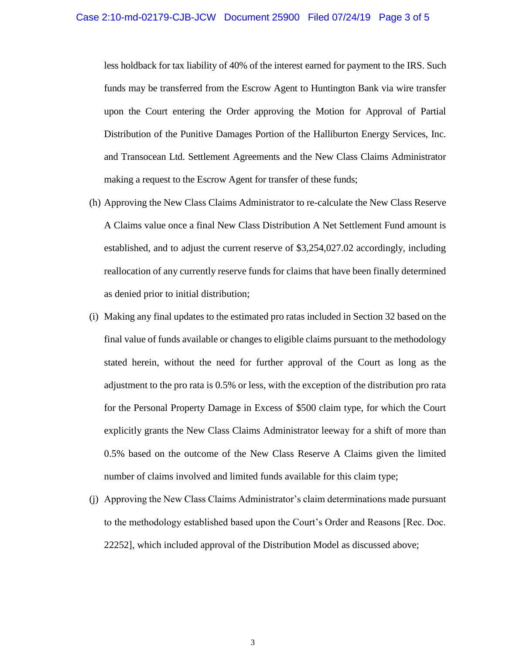less holdback for tax liability of 40% of the interest earned for payment to the IRS. Such funds may be transferred from the Escrow Agent to Huntington Bank via wire transfer upon the Court entering the Order approving the Motion for Approval of Partial Distribution of the Punitive Damages Portion of the Halliburton Energy Services, Inc. and Transocean Ltd. Settlement Agreements and the New Class Claims Administrator making a request to the Escrow Agent for transfer of these funds;

- (h) Approving the New Class Claims Administrator to re-calculate the New Class Reserve A Claims value once a final New Class Distribution A Net Settlement Fund amount is established, and to adjust the current reserve of \$3,254,027.02 accordingly, including reallocation of any currently reserve funds for claims that have been finally determined as denied prior to initial distribution;
- (i) Making any final updates to the estimated pro ratas included in Section 32 based on the final value of funds available or changes to eligible claims pursuant to the methodology stated herein, without the need for further approval of the Court as long as the adjustment to the pro rata is 0.5% or less, with the exception of the distribution pro rata for the Personal Property Damage in Excess of \$500 claim type, for which the Court explicitly grants the New Class Claims Administrator leeway for a shift of more than 0.5% based on the outcome of the New Class Reserve A Claims given the limited number of claims involved and limited funds available for this claim type;
- (j) Approving the New Class Claims Administrator's claim determinations made pursuant to the methodology established based upon the Court's Order and Reasons [Rec. Doc. 22252], which included approval of the Distribution Model as discussed above;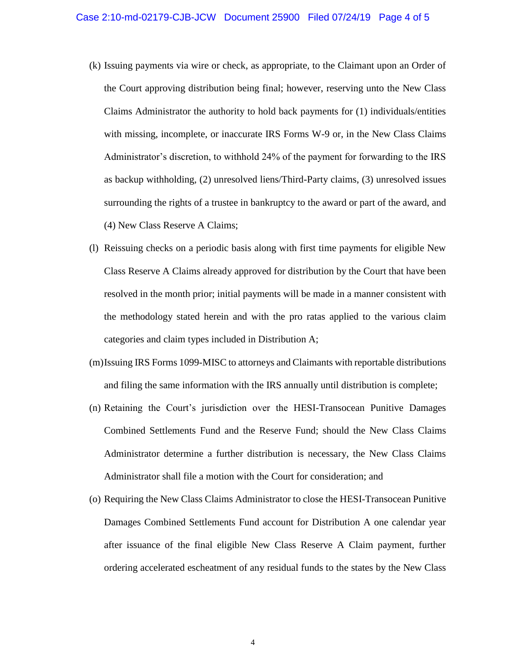- (k) Issuing payments via wire or check, as appropriate, to the Claimant upon an Order of the Court approving distribution being final; however, reserving unto the New Class Claims Administrator the authority to hold back payments for (1) individuals/entities with missing, incomplete, or inaccurate IRS Forms W-9 or, in the New Class Claims Administrator's discretion, to withhold 24% of the payment for forwarding to the IRS as backup withholding, (2) unresolved liens/Third-Party claims, (3) unresolved issues surrounding the rights of a trustee in bankruptcy to the award or part of the award, and (4) New Class Reserve A Claims;
- (l) Reissuing checks on a periodic basis along with first time payments for eligible New Class Reserve A Claims already approved for distribution by the Court that have been resolved in the month prior; initial payments will be made in a manner consistent with the methodology stated herein and with the pro ratas applied to the various claim categories and claim types included in Distribution A;
- (m)Issuing IRS Forms 1099-MISC to attorneys and Claimants with reportable distributions and filing the same information with the IRS annually until distribution is complete;
- (n) Retaining the Court's jurisdiction over the HESI-Transocean Punitive Damages Combined Settlements Fund and the Reserve Fund; should the New Class Claims Administrator determine a further distribution is necessary, the New Class Claims Administrator shall file a motion with the Court for consideration; and
- (o) Requiring the New Class Claims Administrator to close the HESI-Transocean Punitive Damages Combined Settlements Fund account for Distribution A one calendar year after issuance of the final eligible New Class Reserve A Claim payment, further ordering accelerated escheatment of any residual funds to the states by the New Class